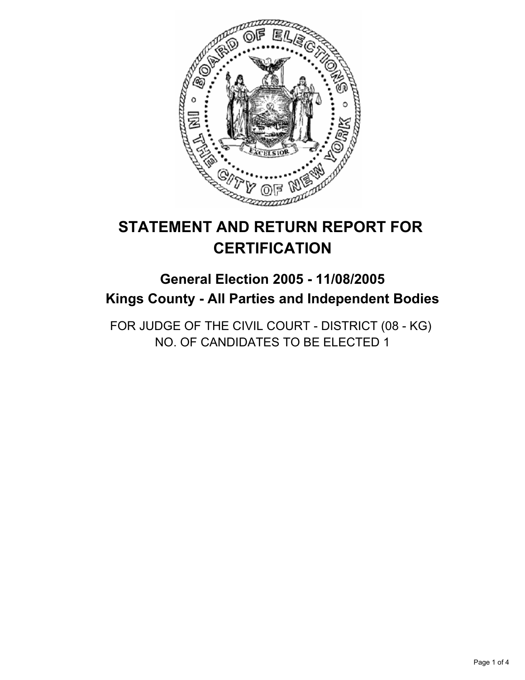

# **STATEMENT AND RETURN REPORT FOR CERTIFICATION**

# **General Election 2005 - 11/08/2005 Kings County - All Parties and Independent Bodies**

FOR JUDGE OF THE CIVIL COURT - DISTRICT (08 - KG) NO. OF CANDIDATES TO BE ELECTED 1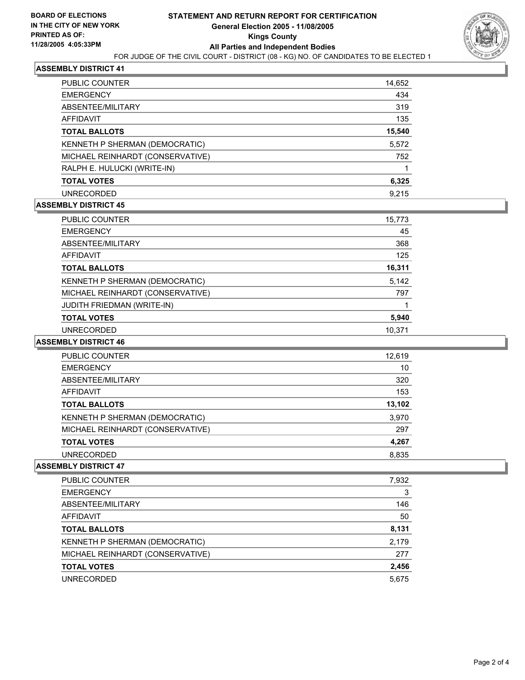

### **ASSEMBLY DISTRICT 41**

| PUBLIC COUNTER                   | 14,652 |
|----------------------------------|--------|
| <b>EMERGENCY</b>                 | 434    |
| ABSENTEE/MILITARY                | 319    |
| AFFIDAVIT                        | 135    |
| <b>TOTAL BALLOTS</b>             | 15,540 |
| KENNETH P SHERMAN (DEMOCRATIC)   | 5,572  |
| MICHAEL REINHARDT (CONSERVATIVE) | 752    |
| RALPH E. HULUCKI (WRITE-IN)      |        |
| <b>TOTAL VOTES</b>               | 6,325  |
| <b>UNRECORDED</b>                | 9.215  |

#### **ASSEMBLY DISTRICT 45**

| PUBLIC COUNTER                    | 15,773 |  |
|-----------------------------------|--------|--|
| <b>EMERGENCY</b>                  | 45     |  |
| ABSENTEE/MILITARY                 | 368    |  |
| <b>AFFIDAVIT</b>                  | 125    |  |
| <b>TOTAL BALLOTS</b>              | 16,311 |  |
| KENNETH P SHERMAN (DEMOCRATIC)    | 5,142  |  |
| MICHAEL REINHARDT (CONSERVATIVE)  | 797    |  |
| <b>JUDITH FRIEDMAN (WRITE-IN)</b> |        |  |
| <b>TOTAL VOTES</b>                | 5,940  |  |
| <b>UNRECORDED</b>                 | 10.371 |  |

#### **ASSEMBLY DISTRICT 46**

| PUBLIC COUNTER                   | 12,619 |
|----------------------------------|--------|
| <b>EMERGENCY</b>                 | 10     |
| ABSENTEE/MILITARY                | 320    |
| <b>AFFIDAVIT</b>                 | 153    |
| <b>TOTAL BALLOTS</b>             | 13,102 |
| KENNETH P SHERMAN (DEMOCRATIC)   | 3,970  |
| MICHAEL REINHARDT (CONSERVATIVE) | 297    |
| <b>TOTAL VOTES</b>               | 4,267  |
| <b>UNRECORDED</b>                | 8,835  |

#### **ASSEMBLY DISTRICT 47**

| PUBLIC COUNTER                   | 7,932 |
|----------------------------------|-------|
| <b>EMERGENCY</b>                 | 3     |
| ABSENTEE/MILITARY                | 146   |
| AFFIDAVIT                        | 50    |
| <b>TOTAL BALLOTS</b>             | 8,131 |
| KENNETH P SHERMAN (DEMOCRATIC)   | 2,179 |
| MICHAEL REINHARDT (CONSERVATIVE) | 277   |
| <b>TOTAL VOTES</b>               | 2,456 |
| <b>UNRECORDED</b>                | 5,675 |
|                                  |       |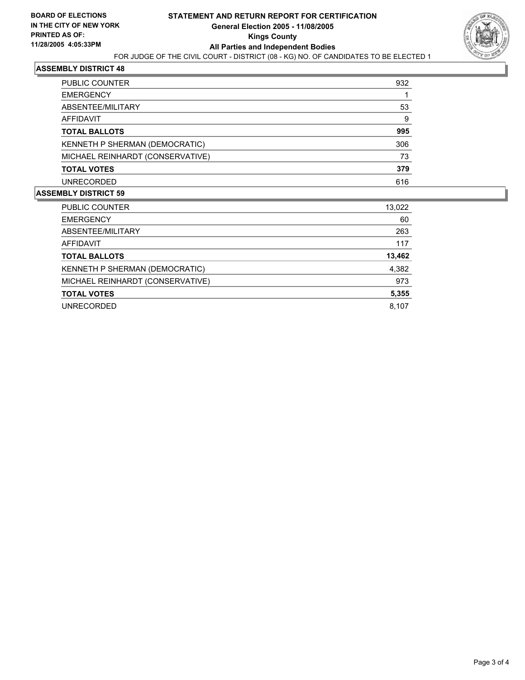

#### **ASSEMBLY DISTRICT 48**

| <b>PUBLIC COUNTER</b>            | 932 |
|----------------------------------|-----|
| <b>EMERGENCY</b>                 |     |
| ABSENTEE/MILITARY                | 53  |
| AFFIDAVIT                        | 9   |
| <b>TOTAL BALLOTS</b>             | 995 |
| KENNETH P SHERMAN (DEMOCRATIC)   | 306 |
| MICHAEL REINHARDT (CONSERVATIVE) | 73  |
| <b>TOTAL VOTES</b>               | 379 |
| <b>UNRECORDED</b>                | 616 |

#### **ASSEMBLY DISTRICT 59**

| PUBLIC COUNTER                   | 13,022 |
|----------------------------------|--------|
| <b>EMERGENCY</b>                 | 60     |
| ABSENTEE/MILITARY                | 263    |
| AFFIDAVIT                        | 117    |
| <b>TOTAL BALLOTS</b>             | 13,462 |
| KENNETH P SHERMAN (DEMOCRATIC)   | 4,382  |
| MICHAEL REINHARDT (CONSERVATIVE) | 973    |
| <b>TOTAL VOTES</b>               | 5,355  |
| <b>UNRECORDED</b>                | 8.107  |